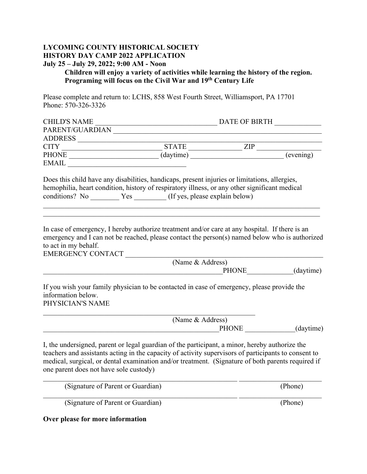#### **LYCOMING COUNTY HISTORICAL SOCIETY HISTORY DAY CAMP 2022 APPLICATION July 25 – July 29, 2022; 9:00 AM - Noon**

#### **Children will enjoy a variety of activities while learning the history of the region. Programing will focus on the Civil War and 19th Century Life**

Please complete and return to: LCHS, 858 West Fourth Street, Williamsport, PA 17701 Phone: 570-326-3326

| <b>CHILD'S NAME</b> |              | DATE OF BIRTH |           |
|---------------------|--------------|---------------|-----------|
| PARENT/GUARDIAN     |              |               |           |
| <b>ADDRESS</b>      |              |               |           |
| <b>CITY</b>         | <b>STATE</b> | ZIP           |           |
| <b>PHONE</b>        | (daytime)    |               | (evening) |
| EMAIL               |              |               |           |

Does this child have any disabilities, handicaps, present injuries or limitations, allergies, hemophilia, heart condition, history of respiratory illness, or any other significant medical conditions? No Yes (If yes, please explain below)

In case of emergency, I hereby authorize treatment and/or care at any hospital. If there is an emergency and I can not be reached, please contact the person(s) named below who is authorized to act in my behalf.

EMERGENCY CONTACT

| (Name & Address) |           |
|------------------|-----------|
| <b>PHONE</b>     | (daytime) |
|                  |           |

If you wish your family physician to be contacted in case of emergency, please provide the information below. PHYSICIAN'S NAME

 (Name & Address)  $\overrightarrow{PHONE}$  (daytime)

I, the undersigned, parent or legal guardian of the participant, a minor, hereby authorize the teachers and assistants acting in the capacity of activity supervisors of participants to consent to medical, surgical, or dental examination and/or treatment. (Signature of both parents required if one parent does not have sole custody)

| (Signature of Parent or Guardian) | (Phone) |
|-----------------------------------|---------|
| (Signature of Parent or Guardian) | (Phone) |

**Over please for more information**